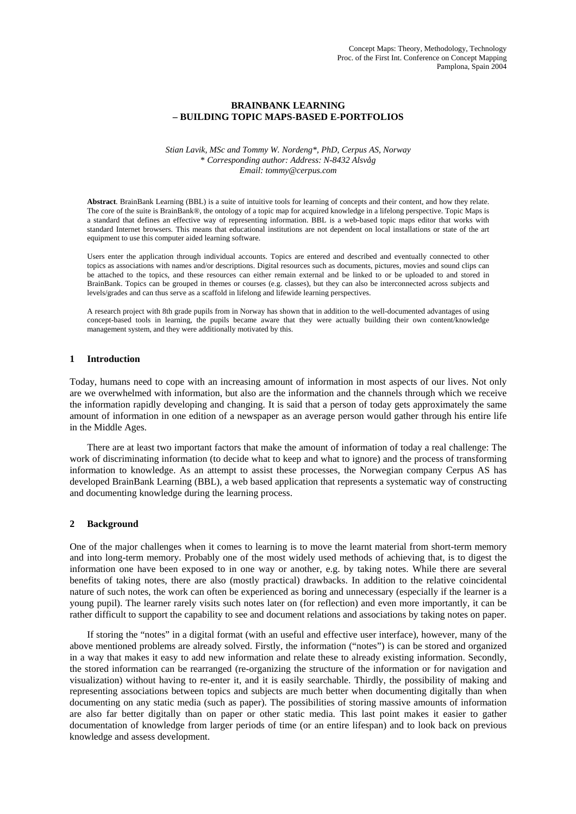# **BRAINBANK LEARNING – BUILDING TOPIC MAPS-BASED E-PORTFOLIOS**

*Stian Lavik, MSc and Tommy W. Nordeng\*, PhD, Cerpus AS, Norway*  \* *Corresponding author: Address: N-8432 Alsvåg Email: tommy@cerpus.com* 

**Abstract**. BrainBank Learning (BBL) is a suite of intuitive tools for learning of concepts and their content, and how they relate. The core of the suite is BrainBank®, the ontology of a topic map for acquired knowledge in a lifelong perspective. Topic Maps is a standard that defines an effective way of representing information. BBL is a web-based topic maps editor that works with standard Internet browsers. This means that educational institutions are not dependent on local installations or state of the art equipment to use this computer aided learning software.

Users enter the application through individual accounts. Topics are entered and described and eventually connected to other topics as associations with names and/or descriptions. Digital resources such as documents, pictures, movies and sound clips can be attached to the topics, and these resources can either remain external and be linked to or be uploaded to and stored in BrainBank. Topics can be grouped in themes or courses (e.g. classes), but they can also be interconnected across subjects and levels/grades and can thus serve as a scaffold in lifelong and lifewide learning perspectives.

A research project with 8th grade pupils from in Norway has shown that in addition to the well-documented advantages of using concept-based tools in learning, the pupils became aware that they were actually building their own content/knowledge management system, and they were additionally motivated by this.

## **1 Introduction**

Today, humans need to cope with an increasing amount of information in most aspects of our lives. Not only are we overwhelmed with information, but also are the information and the channels through which we receive the information rapidly developing and changing. It is said that a person of today gets approximately the same amount of information in one edition of a newspaper as an average person would gather through his entire life in the Middle Ages.

There are at least two important factors that make the amount of information of today a real challenge: The work of discriminating information (to decide what to keep and what to ignore) and the process of transforming information to knowledge. As an attempt to assist these processes, the Norwegian company Cerpus AS has developed BrainBank Learning (BBL), a web based application that represents a systematic way of constructing and documenting knowledge during the learning process.

## **2 Background**

One of the major challenges when it comes to learning is to move the learnt material from short-term memory and into long-term memory. Probably one of the most widely used methods of achieving that, is to digest the information one have been exposed to in one way or another, e.g. by taking notes. While there are several benefits of taking notes, there are also (mostly practical) drawbacks. In addition to the relative coincidental nature of such notes, the work can often be experienced as boring and unnecessary (especially if the learner is a young pupil). The learner rarely visits such notes later on (for reflection) and even more importantly, it can be rather difficult to support the capability to see and document relations and associations by taking notes on paper.

If storing the "notes" in a digital format (with an useful and effective user interface), however, many of the above mentioned problems are already solved. Firstly, the information ("notes") is can be stored and organized in a way that makes it easy to add new information and relate these to already existing information. Secondly, the stored information can be rearranged (re-organizing the structure of the information or for navigation and visualization) without having to re-enter it, and it is easily searchable. Thirdly, the possibility of making and representing associations between topics and subjects are much better when documenting digitally than when documenting on any static media (such as paper). The possibilities of storing massive amounts of information are also far better digitally than on paper or other static media. This last point makes it easier to gather documentation of knowledge from larger periods of time (or an entire lifespan) and to look back on previous knowledge and assess development.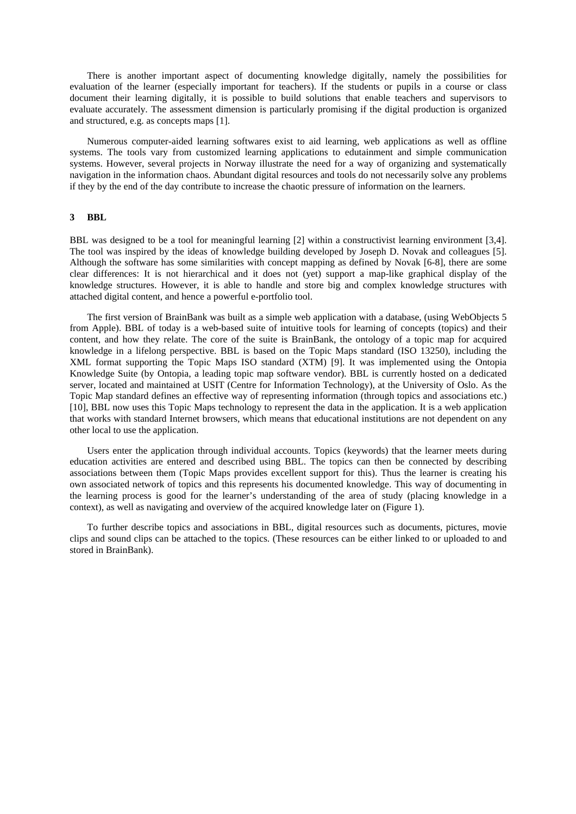There is another important aspect of documenting knowledge digitally, namely the possibilities for evaluation of the learner (especially important for teachers). If the students or pupils in a course or class document their learning digitally, it is possible to build solutions that enable teachers and supervisors to evaluate accurately. The assessment dimension is particularly promising if the digital production is organized and structured, e.g. as concepts maps [1].

Numerous computer-aided learning softwares exist to aid learning, web applications as well as offline systems. The tools vary from customized learning applications to edutainment and simple communication systems. However, several projects in Norway illustrate the need for a way of organizing and systematically navigation in the information chaos. Abundant digital resources and tools do not necessarily solve any problems if they by the end of the day contribute to increase the chaotic pressure of information on the learners.

## **3 BBL**

BBL was designed to be a tool for meaningful learning [2] within a constructivist learning environment [3,4]. The tool was inspired by the ideas of knowledge building developed by Joseph D. Novak and colleagues [5]. Although the software has some similarities with concept mapping as defined by Novak [6-8], there are some clear differences: It is not hierarchical and it does not (yet) support a map-like graphical display of the knowledge structures. However, it is able to handle and store big and complex knowledge structures with attached digital content, and hence a powerful e-portfolio tool.

The first version of BrainBank was built as a simple web application with a database, (using WebObjects 5 from Apple). BBL of today is a web-based suite of intuitive tools for learning of concepts (topics) and their content, and how they relate. The core of the suite is BrainBank, the ontology of a topic map for acquired knowledge in a lifelong perspective. BBL is based on the Topic Maps standard (ISO 13250), including the XML format supporting the Topic Maps ISO standard (XTM) [9]. It was implemented using the Ontopia Knowledge Suite (by Ontopia, a leading topic map software vendor). BBL is currently hosted on a dedicated server, located and maintained at USIT (Centre for Information Technology), at the University of Oslo. As the Topic Map standard defines an effective way of representing information (through topics and associations etc.) [10], BBL now uses this Topic Maps technology to represent the data in the application. It is a web application that works with standard Internet browsers, which means that educational institutions are not dependent on any other local to use the application.

Users enter the application through individual accounts. Topics (keywords) that the learner meets during education activities are entered and described using BBL. The topics can then be connected by describing associations between them (Topic Maps provides excellent support for this). Thus the learner is creating his own associated network of topics and this represents his documented knowledge. This way of documenting in the learning process is good for the learner's understanding of the area of study (placing knowledge in a context), as well as navigating and overview of the acquired knowledge later on (Figure 1).

To further describe topics and associations in BBL, digital resources such as documents, pictures, movie clips and sound clips can be attached to the topics. (These resources can be either linked to or uploaded to and stored in BrainBank).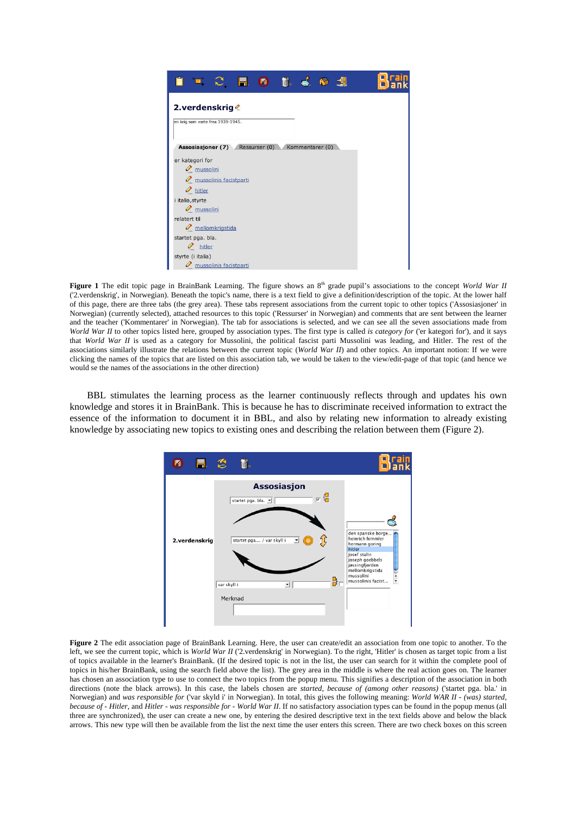

**Figure 1** The edit topic page in BrainBank Learning. The figure shows an 8<sup>th</sup> grade pupil's associations to the concept *World War II* ('2.verdenskrig', in Norwegian). Beneath the topic's name, there is a text field to give a definition/description of the topic. At the lower half of this page, there are three tabs (the grey area). These tabs represent associations from the current topic to other topics ('Assosiasjoner' in Norwegian) (currently selected), attached resources to this topic ('Ressurser' in Norwegian) and comments that are sent between the learner and the teacher ('Kommentarer' in Norwegian). The tab for associations is selected, and we can see all the seven associations made from *World War II* to other topics listed here, grouped by association types. The first type is called *is category for* ('er kategori for'), and it says that *World War II* is used as a category for Mussolini, the political fascist parti Mussolini was leading, and Hitler. The rest of the associations similarly illustrate the relations between the current topic (*World War II*) and other topics. An important notion: If we were clicking the names of the topics that are listed on this association tab, we would be taken to the view/edit-page of that topic (and hence we would se the names of the associations in the other direction)

BBL stimulates the learning process as the learner continuously reflects through and updates his own knowledge and stores it in BrainBank. This is because he has to discriminate received information to extract the essence of the information to document it in BBL, and also by relating new information to already existing knowledge by associating new topics to existing ones and describing the relation between them (Figure 2).



**Figure 2** The edit association page of BrainBank Learning. Here, the user can create/edit an association from one topic to another. To the left, we see the current topic, which is *World War II* ('2.verdenskrig' in Norwegian). To the right, 'Hitler' is chosen as target topic from a list of topics available in the learner's BrainBank. (If the desired topic is not in the list, the user can search for it within the complete pool of topics in his/her BrainBank, using the search field above the list). The grey area in the middle is where the real action goes on. The learner has chosen an association type to use to connect the two topics from the popup menu. This signifies a description of the association in both directions (note the black arrows). In this case, the labels chosen are *started, because of (among other reasons)* ('startet pga. bla.' in Norwegian) and *was responsible for* ('var skyld i' in Norwegian). In total, this gives the following meaning: *World WAR II - (was) started, because of - Hitler*, and *Hitler - was responsible for - World War II*. If no satisfactory association types can be found in the popup menus (all three are synchronized), the user can create a new one, by entering the desired descriptive text in the text fields above and below the black arrows. This new type will then be available from the list the next time the user enters this screen. There are two check boxes on this screen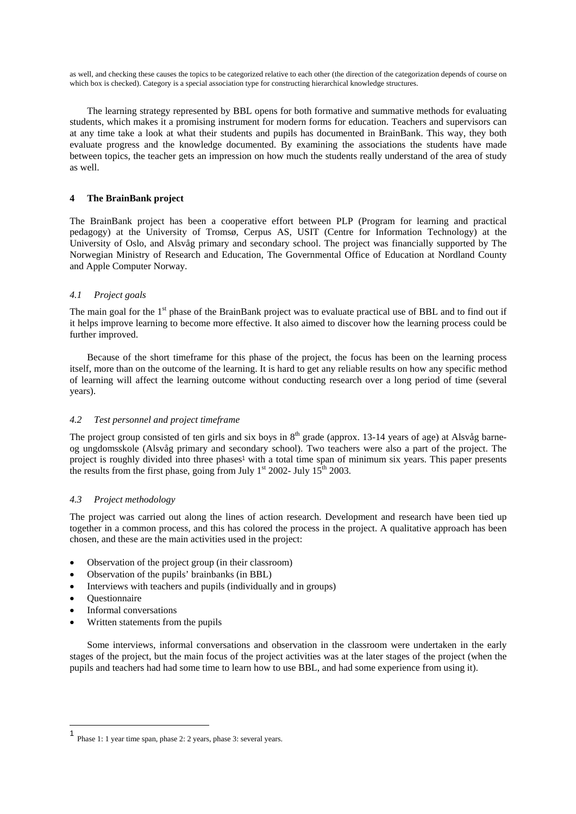as well, and checking these causes the topics to be categorized relative to each other (the direction of the categorization depends of course on which box is checked). Category is a special association type for constructing hierarchical knowledge structures.

The learning strategy represented by BBL opens for both formative and summative methods for evaluating students, which makes it a promising instrument for modern forms for education. Teachers and supervisors can at any time take a look at what their students and pupils has documented in BrainBank. This way, they both evaluate progress and the knowledge documented. By examining the associations the students have made between topics, the teacher gets an impression on how much the students really understand of the area of study as well.

# **4 The BrainBank project**

The BrainBank project has been a cooperative effort between PLP (Program for learning and practical pedagogy) at the University of Tromsø, Cerpus AS, USIT (Centre for Information Technology) at the University of Oslo, and Alsvåg primary and secondary school. The project was financially supported by The Norwegian Ministry of Research and Education, The Governmental Office of Education at Nordland County and Apple Computer Norway.

# *4.1 Project goals*

The main goal for the 1<sup>st</sup> phase of the BrainBank project was to evaluate practical use of BBL and to find out if it helps improve learning to become more effective. It also aimed to discover how the learning process could be further improved.

Because of the short timeframe for this phase of the project, the focus has been on the learning process itself, more than on the outcome of the learning. It is hard to get any reliable results on how any specific method of learning will affect the learning outcome without conducting research over a long period of time (several years).

# *4.2 Test personnel and project timeframe*

The project group consisted of ten girls and six boys in  $8<sup>th</sup>$  grade (approx. 13-14 years of age) at Alsvåg barneog ungdomsskole (Alsvåg primary and secondary school). Two teachers were also a part of the project. The project is roughly divided into three phases<sup>1</sup> with a total time span of minimum six years. This paper presents the results from the first phase, going from July 1<sup>st</sup> 2002- July 15<sup>th</sup> 2003.

# *4.3 Project methodology*

The project was carried out along the lines of action research. Development and research have been tied up together in a common process, and this has colored the process in the project. A qualitative approach has been chosen, and these are the main activities used in the project:

- Observation of the project group (in their classroom)
- Observation of the pupils' brainbanks (in BBL)
- Interviews with teachers and pupils (individually and in groups)
- Questionnaire

 $\overline{a}$ 

- Informal conversations
- Written statements from the pupils

Some interviews, informal conversations and observation in the classroom were undertaken in the early stages of the project, but the main focus of the project activities was at the later stages of the project (when the pupils and teachers had had some time to learn how to use BBL, and had some experience from using it).

<sup>1</sup> Phase 1: 1 year time span, phase 2: 2 years, phase 3: several years.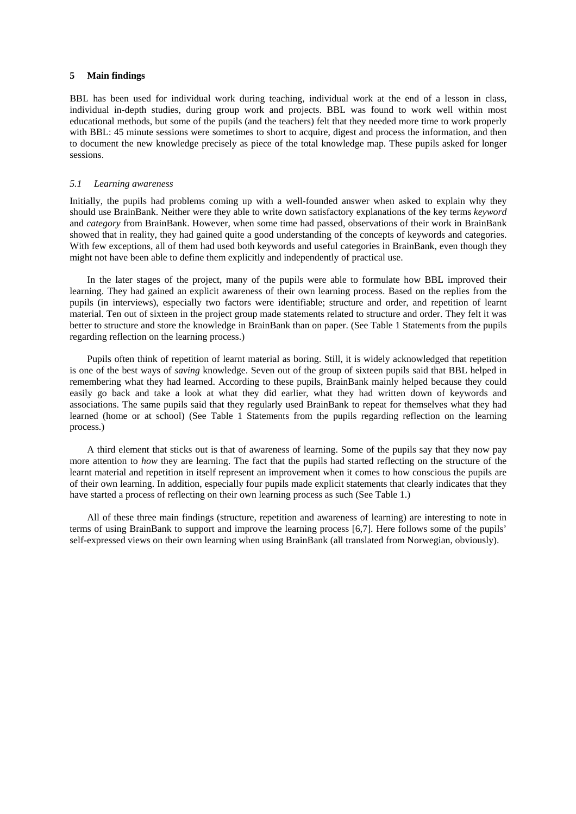# **5 Main findings**

BBL has been used for individual work during teaching, individual work at the end of a lesson in class, individual in-depth studies, during group work and projects. BBL was found to work well within most educational methods, but some of the pupils (and the teachers) felt that they needed more time to work properly with BBL: 45 minute sessions were sometimes to short to acquire, digest and process the information, and then to document the new knowledge precisely as piece of the total knowledge map. These pupils asked for longer sessions.

#### *5.1 Learning awareness*

Initially, the pupils had problems coming up with a well-founded answer when asked to explain why they should use BrainBank. Neither were they able to write down satisfactory explanations of the key terms *keyword*  and *category* from BrainBank. However, when some time had passed, observations of their work in BrainBank showed that in reality, they had gained quite a good understanding of the concepts of keywords and categories. With few exceptions, all of them had used both keywords and useful categories in BrainBank, even though they might not have been able to define them explicitly and independently of practical use.

In the later stages of the project, many of the pupils were able to formulate how BBL improved their learning. They had gained an explicit awareness of their own learning process. Based on the replies from the pupils (in interviews), especially two factors were identifiable; structure and order, and repetition of learnt material. Ten out of sixteen in the project group made statements related to structure and order. They felt it was better to structure and store the knowledge in BrainBank than on paper. (See Table 1 Statements from the pupils regarding reflection on the learning process.)

Pupils often think of repetition of learnt material as boring. Still, it is widely acknowledged that repetition is one of the best ways of *saving* knowledge. Seven out of the group of sixteen pupils said that BBL helped in remembering what they had learned. According to these pupils, BrainBank mainly helped because they could easily go back and take a look at what they did earlier, what they had written down of keywords and associations. The same pupils said that they regularly used BrainBank to repeat for themselves what they had learned (home or at school) (See Table 1 Statements from the pupils regarding reflection on the learning process.)

A third element that sticks out is that of awareness of learning. Some of the pupils say that they now pay more attention to *how* they are learning. The fact that the pupils had started reflecting on the structure of the learnt material and repetition in itself represent an improvement when it comes to how conscious the pupils are of their own learning. In addition, especially four pupils made explicit statements that clearly indicates that they have started a process of reflecting on their own learning process as such (See Table 1.)

All of these three main findings (structure, repetition and awareness of learning) are interesting to note in terms of using BrainBank to support and improve the learning process [6,7]. Here follows some of the pupils' self-expressed views on their own learning when using BrainBank (all translated from Norwegian, obviously).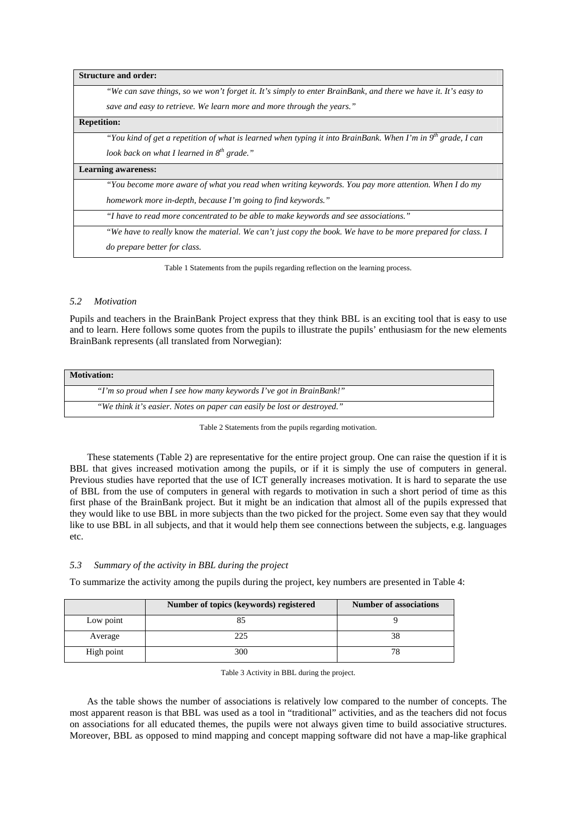| <b>Structure and order:</b> |                                                                                                                |  |
|-----------------------------|----------------------------------------------------------------------------------------------------------------|--|
|                             | "We can save things, so we won't forget it. It's simply to enter BrainBank, and there we have it. It's easy to |  |
|                             | save and easy to retrieve. We learn more and more through the years."                                          |  |
| <b>Repetition:</b>          |                                                                                                                |  |
|                             | "You kind of get a repetition of what is learned when typing it into BrainBank. When I'm in $9^m$ grade, I can |  |
|                             | look back on what I learned in $8^{th}$ grade."                                                                |  |
|                             | <b>Learning awareness:</b>                                                                                     |  |
|                             | "You become more aware of what you read when writing keywords. You pay more attention. When I do my            |  |
|                             | homework more in-depth, because I'm going to find keywords."                                                   |  |
|                             | "I have to read more concentrated to be able to make keywords and see associations."                           |  |
|                             | "We have to really know the material. We can't just copy the book. We have to be more prepared for class. I    |  |
|                             | <i>do prepare better for class.</i>                                                                            |  |
|                             |                                                                                                                |  |

#### Table 1 Statements from the pupils regarding reflection on the learning process.

#### *5.2 Motivation*

Pupils and teachers in the BrainBank Project express that they think BBL is an exciting tool that is easy to use and to learn. Here follows some quotes from the pupils to illustrate the pupils' enthusiasm for the new elements BrainBank represents (all translated from Norwegian):

| <b>Motivation:</b>                                                      |  |  |
|-------------------------------------------------------------------------|--|--|
| "I'm so proud when I see how many keywords I've got in BrainBank!"      |  |  |
| "We think it's easier. Notes on paper can easily be lost or destroyed." |  |  |

Table 2 Statements from the pupils regarding motivation.

These statements (Table 2) are representative for the entire project group. One can raise the question if it is BBL that gives increased motivation among the pupils, or if it is simply the use of computers in general. Previous studies have reported that the use of ICT generally increases motivation. It is hard to separate the use of BBL from the use of computers in general with regards to motivation in such a short period of time as this first phase of the BrainBank project. But it might be an indication that almost all of the pupils expressed that they would like to use BBL in more subjects than the two picked for the project. Some even say that they would like to use BBL in all subjects, and that it would help them see connections between the subjects, e.g. languages etc.

### *5.3 Summary of the activity in BBL during the project*

To summarize the activity among the pupils during the project, key numbers are presented in Table 4:

|            | Number of topics (keywords) registered | <b>Number of associations</b> |
|------------|----------------------------------------|-------------------------------|
| Low point  |                                        |                               |
| Average    | 225                                    | 38                            |
| High point | 300                                    | 78                            |

Table 3 Activity in BBL during the project.

As the table shows the number of associations is relatively low compared to the number of concepts. The most apparent reason is that BBL was used as a tool in "traditional" activities, and as the teachers did not focus on associations for all educated themes, the pupils were not always given time to build associative structures. Moreover, BBL as opposed to mind mapping and concept mapping software did not have a map-like graphical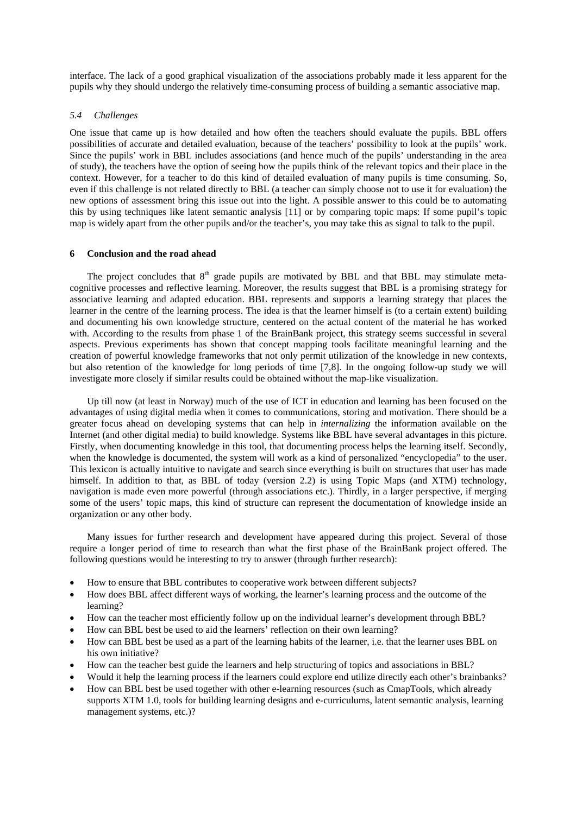interface. The lack of a good graphical visualization of the associations probably made it less apparent for the pupils why they should undergo the relatively time-consuming process of building a semantic associative map.

#### *5.4 Challenges*

One issue that came up is how detailed and how often the teachers should evaluate the pupils. BBL offers possibilities of accurate and detailed evaluation, because of the teachers' possibility to look at the pupils' work. Since the pupils' work in BBL includes associations (and hence much of the pupils' understanding in the area of study), the teachers have the option of seeing how the pupils think of the relevant topics and their place in the context. However, for a teacher to do this kind of detailed evaluation of many pupils is time consuming. So, even if this challenge is not related directly to BBL (a teacher can simply choose not to use it for evaluation) the new options of assessment bring this issue out into the light. A possible answer to this could be to automating this by using techniques like latent semantic analysis [11] or by comparing topic maps: If some pupil's topic map is widely apart from the other pupils and/or the teacher's, you may take this as signal to talk to the pupil.

## **6 Conclusion and the road ahead**

The project concludes that  $8<sup>th</sup>$  grade pupils are motivated by BBL and that BBL may stimulate metacognitive processes and reflective learning. Moreover, the results suggest that BBL is a promising strategy for associative learning and adapted education. BBL represents and supports a learning strategy that places the learner in the centre of the learning process. The idea is that the learner himself is (to a certain extent) building and documenting his own knowledge structure, centered on the actual content of the material he has worked with. According to the results from phase 1 of the BrainBank project, this strategy seems successful in several aspects. Previous experiments has shown that concept mapping tools facilitate meaningful learning and the creation of powerful knowledge frameworks that not only permit utilization of the knowledge in new contexts, but also retention of the knowledge for long periods of time [7,8]. In the ongoing follow-up study we will investigate more closely if similar results could be obtained without the map-like visualization.

Up till now (at least in Norway) much of the use of ICT in education and learning has been focused on the advantages of using digital media when it comes to communications, storing and motivation. There should be a greater focus ahead on developing systems that can help in *internalizing* the information available on the Internet (and other digital media) to build knowledge. Systems like BBL have several advantages in this picture. Firstly, when documenting knowledge in this tool, that documenting process helps the learning itself. Secondly, when the knowledge is documented, the system will work as a kind of personalized "encyclopedia" to the user. This lexicon is actually intuitive to navigate and search since everything is built on structures that user has made himself. In addition to that, as BBL of today (version 2.2) is using Topic Maps (and XTM) technology, navigation is made even more powerful (through associations etc.). Thirdly, in a larger perspective, if merging some of the users' topic maps, this kind of structure can represent the documentation of knowledge inside an organization or any other body.

Many issues for further research and development have appeared during this project. Several of those require a longer period of time to research than what the first phase of the BrainBank project offered. The following questions would be interesting to try to answer (through further research):

- How to ensure that BBL contributes to cooperative work between different subjects?
- How does BBL affect different ways of working, the learner's learning process and the outcome of the learning?
- How can the teacher most efficiently follow up on the individual learner's development through BBL?
- How can BBL best be used to aid the learners' reflection on their own learning?
- How can BBL best be used as a part of the learning habits of the learner, i.e. that the learner uses BBL on his own initiative?
- How can the teacher best guide the learners and help structuring of topics and associations in BBL?
- Would it help the learning process if the learners could explore end utilize directly each other's brainbanks?
- How can BBL best be used together with other e-learning resources (such as CmapTools, which already supports XTM 1.0, tools for building learning designs and e-curriculums, latent semantic analysis, learning management systems, etc.)?